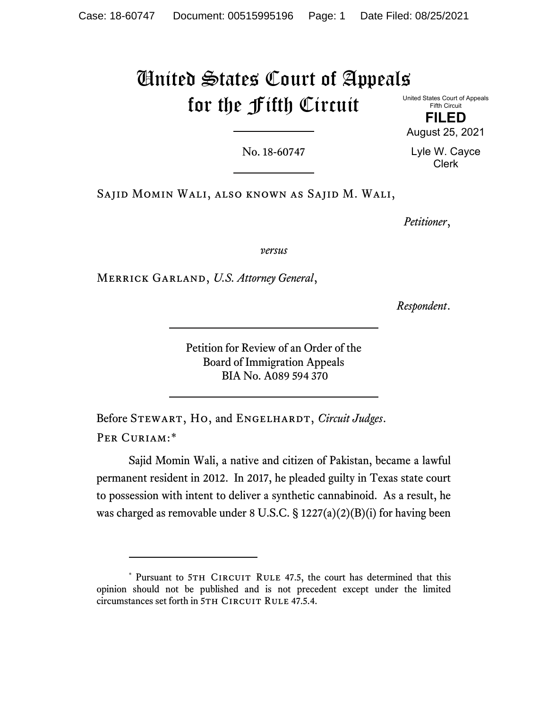# United States Court of Appeals for the Fifth Circuit

United States Court of Appeals Fifth Circuit

**FILED** August 25, 2021

No. 18-60747

Lyle W. Cayce Clerk

Sajid Momin Wali, also known as Sajid M. Wali,

*Petitioner*,

*versus*

Merrick Garland, *U.S. Attorney General*,

*Respondent*.

Petition for Review of an Order of the Board of Immigration Appeals BIA No. A089 594 370

Before STEWART, HO, and ENGELHARDT, *Circuit Judges*. PER CURIAM:[\\*](#page-0-0)

Sajid Momin Wali, a native and citizen of Pakistan, became a lawful permanent resident in 2012. In 2017, he pleaded guilty in Texas state court to possession with intent to deliver a synthetic cannabinoid. As a result, he was charged as removable under 8 U.S.C.  $\S 1227(a)(2)(B)(i)$  for having been

<span id="page-0-0"></span><sup>\*</sup> Pursuant to 5TH CIRCUIT RULE 47.5, the court has determined that this opinion should not be published and is not precedent except under the limited circumstances set forth in 5TH CIRCUIT RULE 47.5.4.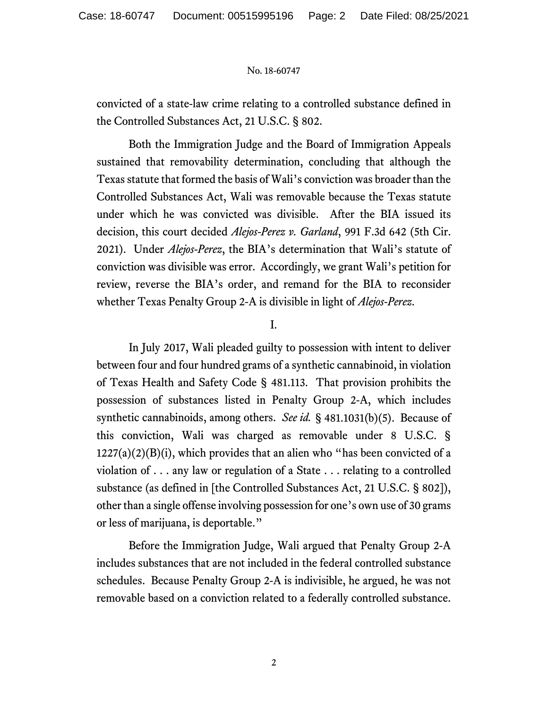convicted of a state-law crime relating to a controlled substance defined in the Controlled Substances Act, 21 U.S.C. § 802.

Both the Immigration Judge and the Board of Immigration Appeals sustained that removability determination, concluding that although the Texas statute that formed the basis of Wali's conviction was broader than the Controlled Substances Act, Wali was removable because the Texas statute under which he was convicted was divisible. After the BIA issued its decision, this court decided *Alejos-Perez v. Garland*, 991 F.3d 642 (5th Cir. 2021). Under *Alejos-Perez*, the BIA's determination that Wali's statute of conviction was divisible was error. Accordingly, we grant Wali's petition for review, reverse the BIA's order, and remand for the BIA to reconsider whether Texas Penalty Group 2-A is divisible in light of *Alejos-Perez*.

I.

In July 2017, Wali pleaded guilty to possession with intent to deliver between four and four hundred grams of a synthetic cannabinoid, in violation of Texas Health and Safety Code § 481.113. That provision prohibits the possession of substances listed in Penalty Group 2-A, which includes synthetic cannabinoids, among others. *See id.* § 481.1031(b)(5). Because of this conviction, Wali was charged as removable under 8 U.S.C. §  $1227(a)(2)(B)(i)$ , which provides that an alien who "has been convicted of a violation of . . . any law or regulation of a State . . . relating to a controlled substance (as defined in [the Controlled Substances Act, 21 U.S.C. § 802]), other than a single offense involving possession for one's own use of 30 grams or less of marijuana, is deportable."

Before the Immigration Judge, Wali argued that Penalty Group 2-A includes substances that are not included in the federal controlled substance schedules. Because Penalty Group 2-A is indivisible, he argued, he was not removable based on a conviction related to a federally controlled substance.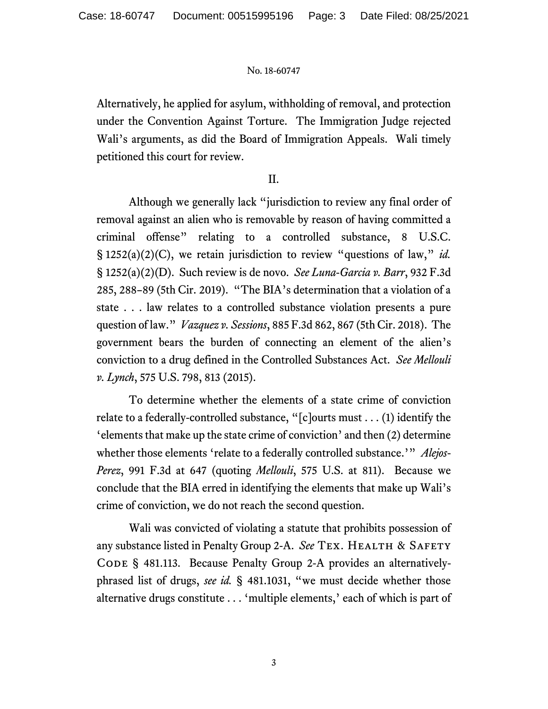Alternatively, he applied for asylum, withholding of removal, and protection under the Convention Against Torture. The Immigration Judge rejected Wali's arguments, as did the Board of Immigration Appeals. Wali timely petitioned this court for review.

# II.

Although we generally lack "jurisdiction to review any final order of removal against an alien who is removable by reason of having committed a criminal offense" relating to a controlled substance, 8 U.S.C. § 1252(a)(2)(C), we retain jurisdiction to review "questions of law," *id.* § 1252(a)(2)(D). Such review is de novo. *See Luna-Garcia v. Barr*, 932 F.3d 285, 288–89 (5th Cir. 2019). "The BIA's determination that a violation of a state . . . law relates to a controlled substance violation presents a pure question of law." *Vazquez v. Sessions*, 885 F.3d 862, 867 (5th Cir. 2018). The government bears the burden of connecting an element of the alien's conviction to a drug defined in the Controlled Substances Act. *See Mellouli v. Lynch*, 575 U.S. 798, 813 (2015).

To determine whether the elements of a state crime of conviction relate to a federally-controlled substance, "[c]ourts must . . . (1) identify the 'elements that make up the state crime of conviction' and then (2) determine whether those elements 'relate to a federally controlled substance.'" *Alejos-Perez*, 991 F.3d at 647 (quoting *Mellouli*, 575 U.S. at 811). Because we conclude that the BIA erred in identifying the elements that make up Wali's crime of conviction, we do not reach the second question.

Wali was convicted of violating a statute that prohibits possession of any substance listed in Penalty Group 2-A. See TEX. HEALTH & SAFETY CODE § 481.113. Because Penalty Group 2-A provides an alternativelyphrased list of drugs, *see id.* § 481.1031, "we must decide whether those alternative drugs constitute . . . 'multiple elements,' each of which is part of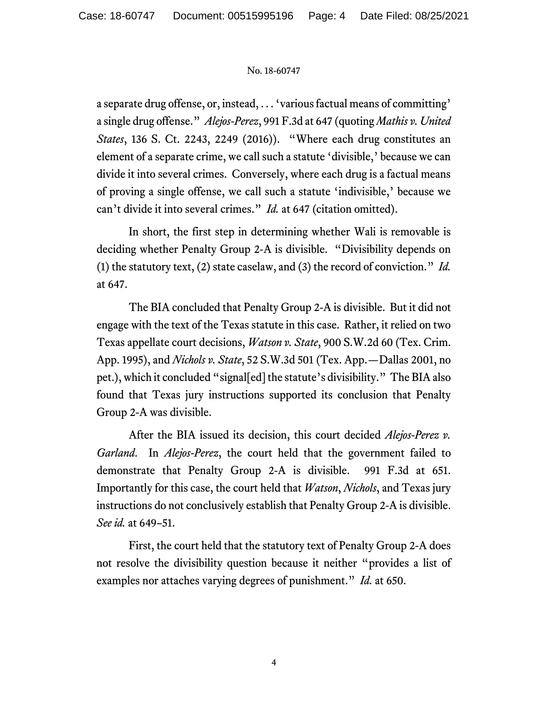a separate drug offense, or, instead, . . . 'various factual means of committing' a single drug offense." *Alejos-Perez*, 991 F.3d at 647 (quoting *Mathis v. United States*, 136 S. Ct. 2243, 2249 (2016)). "Where each drug constitutes an element of a separate crime, we call such a statute 'divisible,' because we can divide it into several crimes. Conversely, where each drug is a factual means of proving a single offense, we call such a statute 'indivisible,' because we can't divide it into several crimes." *Id.* at 647 (citation omitted).

In short, the first step in determining whether Wali is removable is deciding whether Penalty Group 2-A is divisible. "Divisibility depends on (1) the statutory text, (2) state caselaw, and (3) the record of conviction." *Id.*  at 647.

The BIA concluded that Penalty Group 2-A is divisible. But it did not engage with the text of the Texas statute in this case. Rather, it relied on two Texas appellate court decisions, *Watson v. State*, 900 S.W.2d 60 (Tex. Crim. App. 1995), and *Nichols v. State*, 52 S.W.3d 501 (Tex. App.—Dallas 2001, no pet.), which it concluded "signal[ed] the statute's divisibility." The BIAalso found that Texas jury instructions supported its conclusion that Penalty Group 2-A was divisible.

After the BIA issued its decision, this court decided *Alejos-Perez v. Garland*. In *Alejos-Perez*, the court held that the government failed to demonstrate that Penalty Group 2-A is divisible. 991 F.3d at 651. Importantly for this case, the court held that *Watson*, *Nichols*, and Texas jury instructions do not conclusively establish that Penalty Group 2-A is divisible. *See id.* at 649–51.

First, the court held that the statutory text of Penalty Group 2-A does not resolve the divisibility question because it neither "provides a list of examples nor attaches varying degrees of punishment." *Id.* at 650.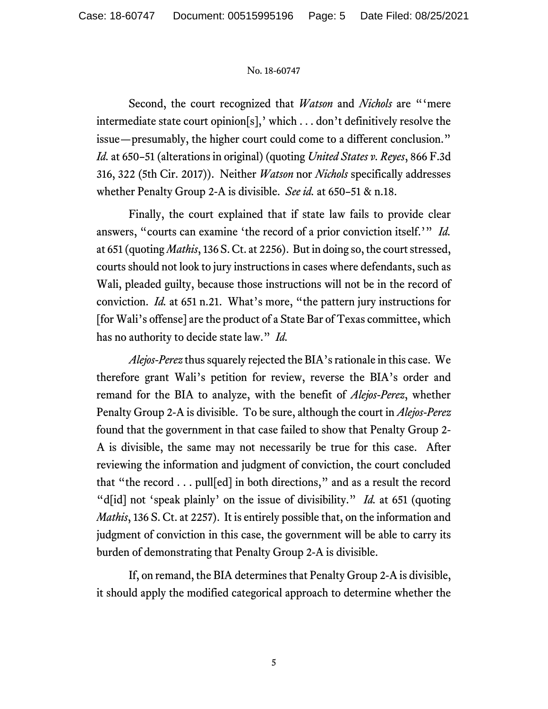Second, the court recognized that *Watson* and *Nichols* are "'mere intermediate state court opinion[s],' which . . . don't definitively resolve the issue—presumably, the higher court could come to a different conclusion." *Id.* at 650–51 (alterations in original) (quoting *United States v. Reyes*, 866 F.3d 316, 322 (5th Cir. 2017)). Neither *Watson* nor *Nichols* specifically addresses whether Penalty Group 2-A is divisible. *See id.* at 650–51 & n.18.

Finally, the court explained that if state law fails to provide clear answers, "courts can examine 'the record of a prior conviction itself.'" *Id.*  at 651 (quoting *Mathis*, 136 S. Ct. at 2256). But in doing so, the court stressed, courts should not look to jury instructions in cases where defendants, such as Wali, pleaded guilty, because those instructions will not be in the record of conviction. *Id.* at 651 n.21. What's more, "the pattern jury instructions for [for Wali's offense] are the product of a State Bar of Texas committee, which has no authority to decide state law." *Id.*

*Alejos-Perez* thus squarely rejected the BIA's rationale in this case. We therefore grant Wali's petition for review, reverse the BIA's order and remand for the BIA to analyze, with the benefit of *Alejos-Perez*, whether Penalty Group 2-A is divisible. To be sure, although the court in *Alejos-Perez* found that the government in that case failed to show that Penalty Group 2- A is divisible, the same may not necessarily be true for this case. After reviewing the information and judgment of conviction, the court concluded that "the record . . . pull[ed] in both directions," and as a result the record "d[id] not 'speak plainly' on the issue of divisibility." *Id.* at 651 (quoting *Mathis*, 136 S. Ct. at 2257). It is entirely possible that, on the information and judgment of conviction in this case, the government will be able to carry its burden of demonstrating that Penalty Group 2-A is divisible.

If, on remand, the BIA determines that Penalty Group 2-A is divisible, it should apply the modified categorical approach to determine whether the